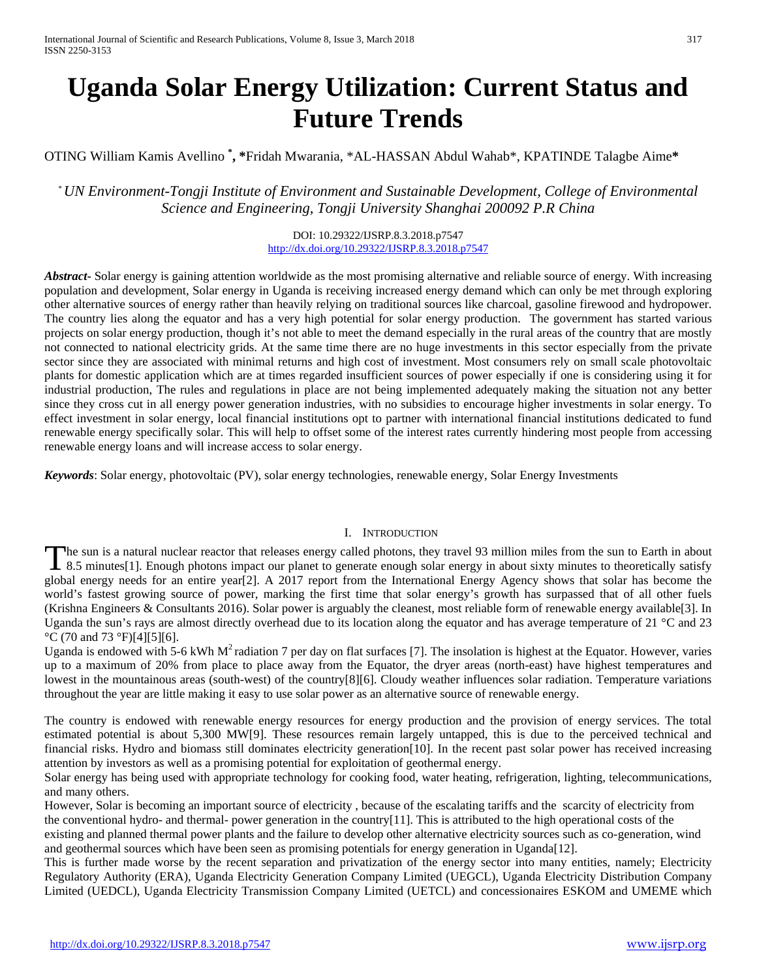# **Uganda Solar Energy Utilization: Current Status and Future Trends**

OTING William Kamis Avellino **\* , \***Fridah Mwarania, \*AL-HASSAN Abdul Wahab\*, KPATINDE Talagbe Aime**\***

\* *UN Environment-Tongji Institute of Environment and Sustainable Development, College of Environmental Science and Engineering, Tongji University Shanghai 200092 P.R China*

> DOI: 10.29322/IJSRP.8.3.2018.p7547 <http://dx.doi.org/10.29322/IJSRP.8.3.2018.p7547>

*Abstract***-** Solar energy is gaining attention worldwide as the most promising alternative and reliable source of energy. With increasing population and development, Solar energy in Uganda is receiving increased energy demand which can only be met through exploring other alternative sources of energy rather than heavily relying on traditional sources like charcoal, gasoline firewood and hydropower. The country lies along the equator and has a very high potential for solar energy production. The government has started various projects on solar energy production, though it's not able to meet the demand especially in the rural areas of the country that are mostly not connected to national electricity grids. At the same time there are no huge investments in this sector especially from the private sector since they are associated with minimal returns and high cost of investment. Most consumers rely on small scale photovoltaic plants for domestic application which are at times regarded insufficient sources of power especially if one is considering using it for industrial production, The rules and regulations in place are not being implemented adequately making the situation not any better since they cross cut in all energy power generation industries, with no subsidies to encourage higher investments in solar energy. To effect investment in solar energy, local financial institutions opt to partner with international financial institutions dedicated to fund renewable energy specifically solar. This will help to offset some of the interest rates currently hindering most people from accessing renewable energy loans and will increase access to solar energy.

*Keywords*: Solar energy, photovoltaic (PV), solar energy technologies, renewable energy, Solar Energy Investments

## I. INTRODUCTION

he sun is a natural nuclear reactor that releases energy called photons, they travel 93 million miles from the sun to Earth in about The sun is a natural nuclear reactor that releases energy called photons, they travel 93 million miles from the sun to Earth in about 8.5 minutes [1]. Enough photons impact our planet to generate enough solar energy in abo global energy needs for an entire year[2]. A 2017 report from the International Energy Agency shows that solar has become the world's fastest growing source of power, marking the first time that solar energy's growth has surpassed that of all other fuels (Krishna Engineers & Consultants 2016). Solar power is arguably the cleanest, most reliable form of renewable energy available[3]. In Uganda the sun's rays are almost directly overhead due to its location along the equator and has average temperature of 21 °C and 23  $\rm{°C}$  (70 and 73  $\rm{°F}$ )[4][5][6].

Uganda is endowed with 5-6 kWh  $M<sup>2</sup>$  radiation 7 per day on flat surfaces [7]. The insolation is highest at the Equator. However, varies up to a maximum of 20% from place to place away from the Equator, the dryer areas (north-east) have highest temperatures and lowest in the mountainous areas (south-west) of the country[8][6]. Cloudy weather influences solar radiation. Temperature variations throughout the year are little making it easy to use solar power as an alternative source of renewable energy.

The country is endowed with renewable energy resources for energy production and the provision of energy services. The total estimated potential is about 5,300 MW[9]. These resources remain largely untapped, this is due to the perceived technical and financial risks. Hydro and biomass still dominates electricity generation[10]. In the recent past solar power has received increasing attention by investors as well as a promising potential for exploitation of geothermal energy.

Solar energy has being used with appropriate technology for cooking food, water heating, refrigeration, lighting, telecommunications, and many others.

However, Solar is becoming an important source of electricity , because of the escalating tariffs and the scarcity of electricity from the conventional hydro- and thermal- power generation in the country[11]. This is attributed to the high operational costs of the existing and planned thermal power plants and the failure to develop other alternative electricity sources such as co-generation, wind and geothermal sources which have been seen as promising potentials for energy generation in Uganda[12].

This is further made worse by the recent separation and privatization of the energy sector into many entities, namely; Electricity Regulatory Authority (ERA), Uganda Electricity Generation Company Limited (UEGCL), Uganda Electricity Distribution Company Limited (UEDCL), Uganda Electricity Transmission Company Limited (UETCL) and concessionaires ESKOM and UMEME which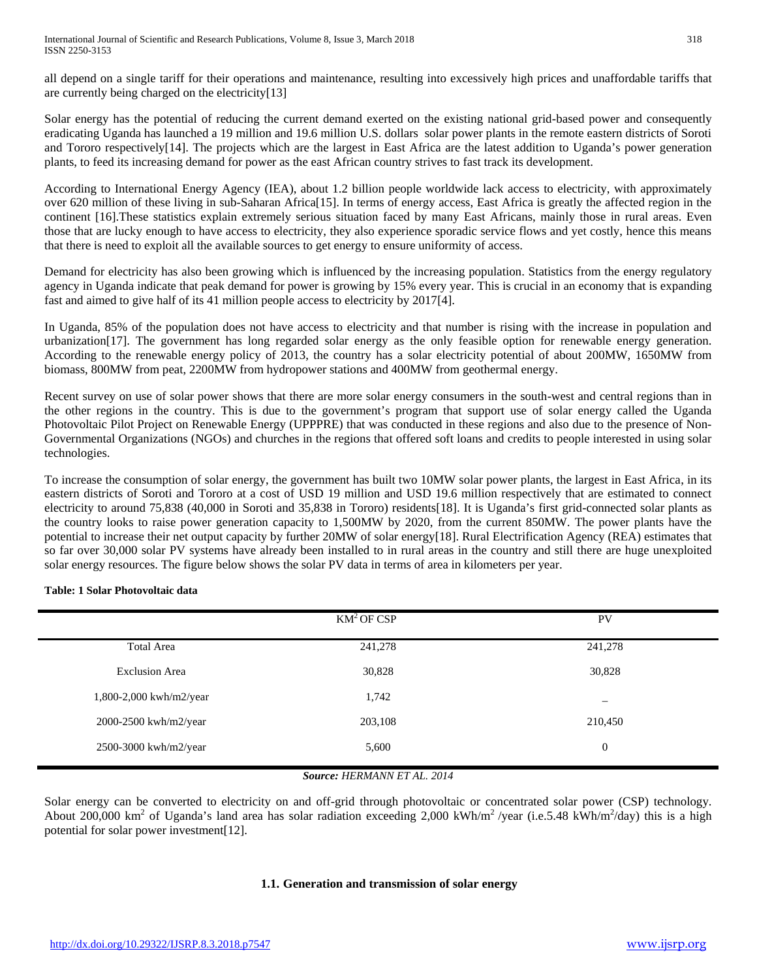all depend on a single tariff for their operations and maintenance, resulting into excessively high prices and unaffordable tariffs that are currently being charged on the electricity[13]

Solar energy has the potential of reducing the current demand exerted on the existing national grid-based power and consequently eradicating Uganda has launched a 19 million and 19.6 million U.S. dollars solar power plants in the remote eastern districts of Soroti and Tororo respectively[14]. The projects which are the largest in East Africa are the latest addition to Uganda's power generation plants, to feed its increasing demand for power as the east African country strives to fast track its development.

According to International Energy Agency (IEA), about 1.2 billion people worldwide lack access to electricity, with approximately over 620 million of these living in sub-Saharan Africa[15]. In terms of energy access, East Africa is greatly the affected region in the continent [16].These statistics explain extremely serious situation faced by many East Africans, mainly those in rural areas. Even those that are lucky enough to have access to electricity, they also experience sporadic service flows and yet costly, hence this means that there is need to exploit all the available sources to get energy to ensure uniformity of access.

Demand for electricity has also been growing which is influenced by the increasing population. Statistics from the energy regulatory agency in Uganda indicate that peak demand for power is growing by 15% every year. This is crucial in an economy that is expanding fast and aimed to give half of its 41 million people access to electricity by 2017[4].

In Uganda, 85% of the population does not have access to electricity and that number is rising with the increase in population and urbanization[17]. The government has long regarded solar energy as the only feasible option for renewable energy generation. According to the renewable energy policy of 2013, the country has a solar electricity potential of about 200MW, 1650MW from biomass, 800MW from peat, 2200MW from hydropower stations and 400MW from geothermal energy.

Recent survey on use of solar power shows that there are more solar energy consumers in the south-west and central regions than in the other regions in the country. This is due to the government's program that support use of solar energy called the Uganda Photovoltaic Pilot Project on Renewable Energy (UPPPRE) that was conducted in these regions and also due to the presence of Non-Governmental Organizations (NGOs) and churches in the regions that offered soft loans and credits to people interested in using solar technologies.

To increase the consumption of solar energy, the government has built two 10MW solar power plants, the largest in East Africa, in its eastern districts of Soroti and Tororo at a cost of USD 19 million and USD 19.6 million respectively that are estimated to connect electricity to around 75,838 (40,000 in Soroti and 35,838 in Tororo) residents[18]. It is Uganda's first grid-connected solar plants as the country looks to raise power generation capacity to 1,500MW by 2020, from the current 850MW. The power plants have the potential to increase their net output capacity by further 20MW of solar energy[18]. Rural Electrification Agency (REA) estimates that so far over 30,000 solar PV systems have already been installed to in rural areas in the country and still there are huge unexploited solar energy resources. The figure below shows the solar PV data in terms of area in kilometers per year.

**Table: 1 Solar Photovoltaic data**

|                         | $KM^2$ OF CSP | <b>PV</b>                |
|-------------------------|---------------|--------------------------|
| Total Area              | 241,278       | 241,278                  |
| <b>Exclusion Area</b>   | 30,828        | 30,828                   |
| 1,800-2,000 kwh/m2/year | 1,742         | $\overline{\phantom{m}}$ |
| 2000-2500 kwh/m2/year   | 203,108       | 210,450                  |
| 2500-3000 kwh/m2/year   | 5,600         | $\boldsymbol{0}$         |

# *Source: HERMANN ET AL. 2014*

Solar energy can be converted to electricity on and off-grid through photovoltaic or concentrated solar power (CSP) technology. About 200,000 km<sup>2</sup> of Uganda's land area has solar radiation exceeding 2,000 kWh/m<sup>2</sup>/year (i.e.5.48 kWh/m<sup>2</sup>/day) this is a high potential for solar power investment[12].

# **1.1. Generation and transmission of solar energy**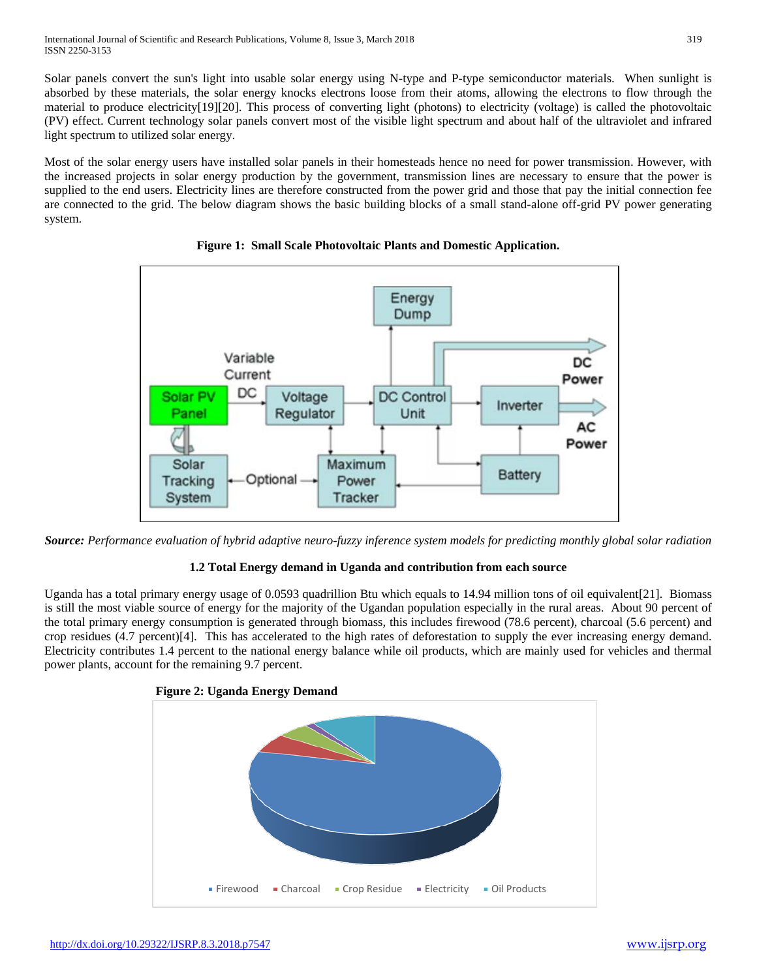Solar panels convert the sun's light into usable solar energy using N-type and P-type semiconductor materials. When sunlight is absorbed by these materials, the solar energy knocks electrons loose from their atoms, allowing the electrons to flow through the material to produce electricity[19][20]. This process of converting light (photons) to electricity (voltage) is called the photovoltaic (PV) effect. Current technology solar panels convert most of the visible light spectrum and about half of the ultraviolet and infrared light spectrum to utilized solar energy.

Most of the solar energy users have installed solar panels in their homesteads hence no need for power transmission. However, with the increased projects in solar energy production by the government, transmission lines are necessary to ensure that the power is supplied to the end users. Electricity lines are therefore constructed from the power grid and those that pay the initial connection fee are connected to the grid. The below diagram shows the basic building blocks of a small stand-alone off-grid PV power generating system.



**Figure 1: Small Scale Photovoltaic Plants and Domestic Application.**

*Source: Performance evaluation of hybrid adaptive neuro-fuzzy inference system models for predicting monthly global solar radiation*

# **1.2 Total Energy demand in Uganda and contribution from each source**

Uganda has a total primary energy usage of 0.0593 quadrillion Btu which equals to 14.94 million tons of oil equivalent[21]. Biomass is still the most viable source of energy for the majority of the Ugandan population especially in the rural areas. About 90 percent of the total primary energy consumption is generated through biomass, this includes firewood (78.6 percent), charcoal (5.6 percent) and crop residues (4.7 percent)[4]. This has accelerated to the high rates of deforestation to supply the ever increasing energy demand. Electricity contributes 1.4 percent to the national energy balance while oil products, which are mainly used for vehicles and thermal power plants, account for the remaining 9.7 percent.

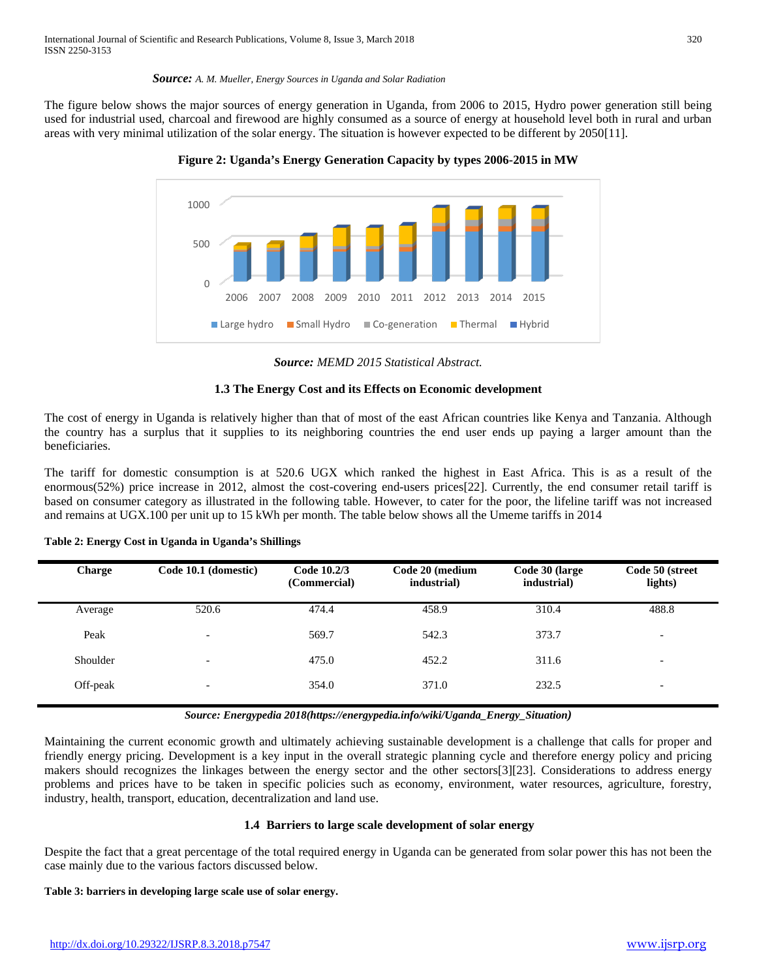#### *Source: A. M. Mueller, Energy Sources in Uganda and Solar Radiation*

The figure below shows the major sources of energy generation in Uganda, from 2006 to 2015, Hydro power generation still being used for industrial used, charcoal and firewood are highly consumed as a source of energy at household level both in rural and urban areas with very minimal utilization of the solar energy. The situation is however expected to be different by 2050[11].





*Source: MEMD 2015 Statistical Abstract.*

# **1.3 The Energy Cost and its Effects on Economic development**

The cost of energy in Uganda is relatively higher than that of most of the east African countries like Kenya and Tanzania. Although the country has a surplus that it supplies to its neighboring countries the end user ends up paying a larger amount than the beneficiaries.

The tariff for domestic consumption is at 520.6 UGX which ranked the highest in East Africa. This is as a result of the enormous(52%) price increase in 2012, almost the cost-covering end-users prices[22]. Currently, the end consumer retail tariff is based on consumer category as illustrated in the following table. However, to cater for the poor, the lifeline tariff was not increased and remains at UGX.100 per unit up to 15 kWh per month. The table below shows all the Umeme tariffs in 2014

| Table 2: Energy Cost in Uganda in Uganda's Shillings |  |  |  |  |  |
|------------------------------------------------------|--|--|--|--|--|
|------------------------------------------------------|--|--|--|--|--|

| <b>Charge</b> | Code 10.1 (domestic)     | Code 10.2/3<br>(Commercial) | Code 20 (medium<br>industrial) | Code 30 (large<br>industrial) | Code 50 (street<br>lights) |
|---------------|--------------------------|-----------------------------|--------------------------------|-------------------------------|----------------------------|
| Average       | 520.6                    | 474.4                       | 458.9                          | 310.4                         | 488.8                      |
| Peak          | $\overline{\phantom{a}}$ | 569.7                       | 542.3                          | 373.7                         | $\overline{\phantom{a}}$   |
| Shoulder      | $\overline{\phantom{a}}$ | 475.0                       | 452.2                          | 311.6                         | $\overline{\phantom{a}}$   |
| Off-peak      | $\overline{\phantom{a}}$ | 354.0                       | 371.0                          | 232.5                         | $\overline{\phantom{a}}$   |

*Source: Energypedia 2018(https://energypedia.info/wiki/Uganda\_Energy\_Situation)*

Maintaining the current economic growth and ultimately achieving sustainable development is a challenge that calls for proper and friendly energy pricing. Development is a key input in the overall strategic planning cycle and therefore energy policy and pricing makers should recognizes the linkages between the energy sector and the other sectors[3][23]. Considerations to address energy problems and prices have to be taken in specific policies such as economy, environment, water resources, agriculture, forestry, industry, health, transport, education, decentralization and land use.

## **1.4 Barriers to large scale development of solar energy**

Despite the fact that a great percentage of the total required energy in Uganda can be generated from solar power this has not been the case mainly due to the various factors discussed below.

## **Table 3: barriers in developing large scale use of solar energy.**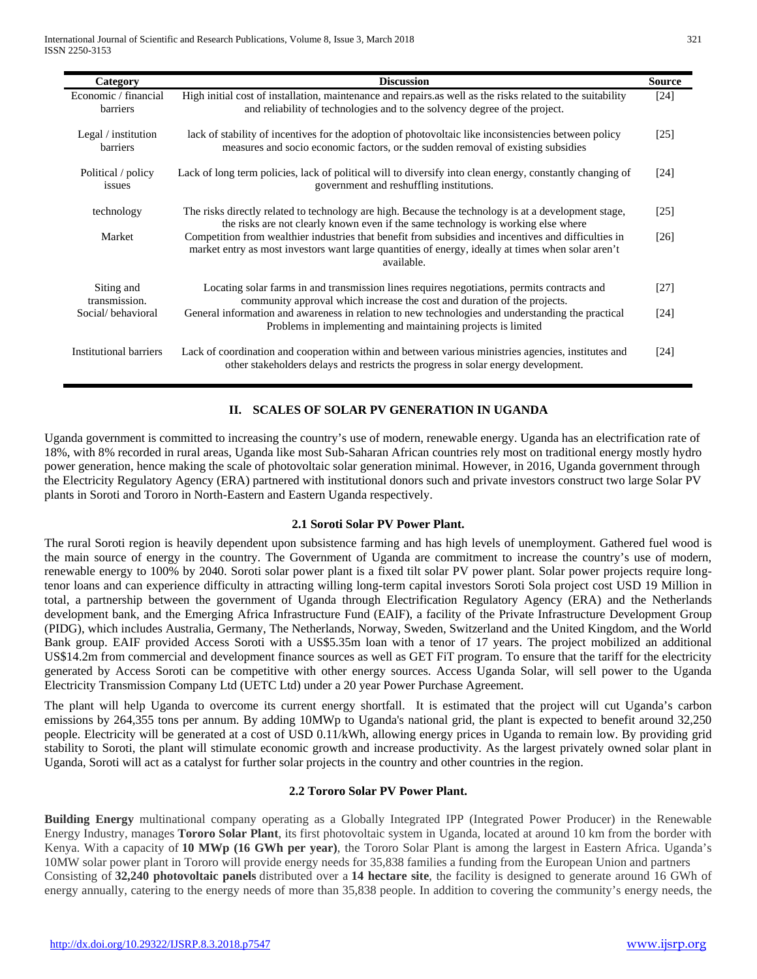| Category                         | <b>Discussion</b>                                                                                                                                                                                                        | <b>Source</b>      |
|----------------------------------|--------------------------------------------------------------------------------------------------------------------------------------------------------------------------------------------------------------------------|--------------------|
| Economic / financial<br>barriers | High initial cost of installation, maintenance and repairs as well as the risks related to the suitability<br>and reliability of technologies and to the solvency degree of the project.                                 | $[24]$             |
| Legal / institution<br>barriers  | lack of stability of incentives for the adoption of photovoltaic like inconsistencies between policy<br>measures and socio economic factors, or the sudden removal of existing subsidies                                 | [25]               |
| Political / policy<br>issues     | Lack of long term policies, lack of political will to diversify into clean energy, constantly changing of<br>government and reshuffling institutions.                                                                    | [24]               |
| technology                       | The risks directly related to technology are high. Because the technology is at a development stage,<br>the risks are not clearly known even if the same technology is working else where                                | $[25]$             |
| Market                           | Competition from wealthier industries that benefit from subsidies and incentives and difficulties in<br>market entry as most investors want large quantities of energy, ideally at times when solar aren't<br>available. | [26]               |
| Siting and<br>transmission.      | Locating solar farms in and transmission lines requires negotiations, permits contracts and<br>community approval which increase the cost and duration of the projects.                                                  | $[27]$             |
| Social/behavioral                | General information and awareness in relation to new technologies and understanding the practical<br>Problems in implementing and maintaining projects is limited                                                        | [24]               |
| Institutional barriers           | Lack of coordination and cooperation within and between various ministries agencies, institutes and<br>other stakeholders delays and restricts the progress in solar energy development.                                 | $\lceil 24 \rceil$ |

# **II. SCALES OF SOLAR PV GENERATION IN UGANDA**

Uganda government is committed to increasing the country's use of modern, renewable energy. Uganda has an electrification rate of 18%, with 8% recorded in rural areas, Uganda like most Sub-Saharan African countries rely most on traditional energy mostly hydro power generation, hence making the scale of photovoltaic solar generation minimal. However, in 2016, Uganda government through the Electricity Regulatory Agency (ERA) partnered with institutional donors such and private investors construct two large Solar PV plants in Soroti and Tororo in North-Eastern and Eastern Uganda respectively.

#### **2.1 Soroti Solar PV Power Plant.**

The rural Soroti region is heavily dependent upon subsistence farming and has high levels of unemployment. Gathered fuel wood is the main source of energy in the country. The Government of Uganda are commitment to increase the country's use of modern, renewable energy to 100% by 2040. Soroti solar power plant is a fixed tilt solar PV power plant. Solar power projects require longtenor loans and can experience difficulty in attracting willing long-term capital investors Soroti Sola project cost USD 19 Million in total, a partnership between the government of Uganda through Electrification Regulatory Agency (ERA) and the Netherlands development bank, and the Emerging Africa Infrastructure Fund (EAIF), a facility of the Private Infrastructure Development Group (PIDG), which includes Australia, Germany, The Netherlands, Norway, Sweden, Switzerland and the United Kingdom, and the World Bank group. EAIF provided Access Soroti with a US\$5.35m loan with a tenor of 17 years. The project mobilized an additional US\$14.2m from commercial and development finance sources as well as GET FiT program. To ensure that the tariff for the electricity generated by Access Soroti can be competitive with other energy sources. Access Uganda Solar, will sell power to the Uganda Electricity Transmission Company Ltd (UETC Ltd) under a 20 year Power Purchase Agreement.

The plant will help Uganda to overcome its current energy shortfall. It is estimated that the project will cut Uganda's carbon emissions by 264,355 tons per annum. By adding 10MWp to Uganda's national grid, the plant is expected to benefit around 32,250 people. Electricity will be generated at a cost of USD 0.11/kWh, allowing energy prices in Uganda to remain low. By providing grid stability to Soroti, the plant will stimulate economic growth and increase productivity. As the largest privately owned solar plant in Uganda, Soroti will act as a catalyst for further solar projects in the country and other countries in the region.

## **2.2 Tororo Solar PV Power Plant.**

**Building Energy** multinational company operating as a Globally Integrated IPP (Integrated Power Producer) in the Renewable Energy Industry, manages **Tororo Solar Plant**, its first photovoltaic system in Uganda, located at around 10 km from the border with Kenya. With a capacity of **10 MWp (16 GWh per year)**, the Tororo Solar Plant is among the largest in Eastern Africa. Uganda's 10MW solar power plant in Tororo will provide energy needs for 35,838 families a funding from the European Union and partners Consisting of **32,240 photovoltaic panels** distributed over a **14 hectare site**, the facility is designed to generate around 16 GWh of energy annually, catering to the energy needs of more than 35,838 people. In addition to covering the community's energy needs, the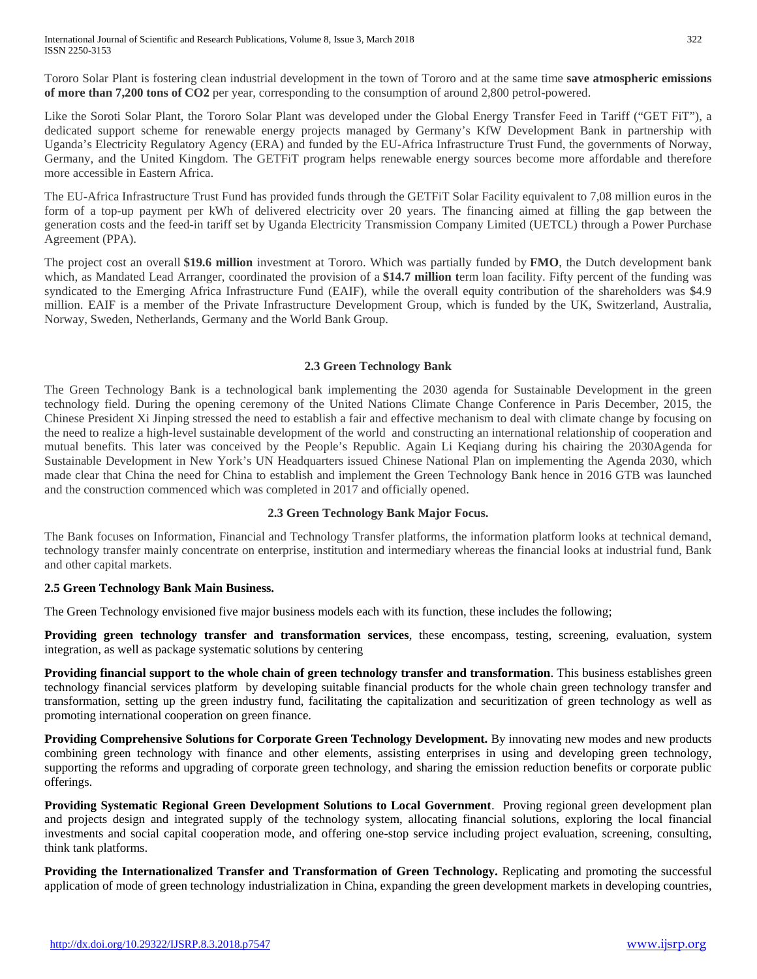Tororo Solar Plant is fostering clean industrial development in the town of Tororo and at the same time **save atmospheric emissions of more than 7,200 tons of CO2** per year, corresponding to the consumption of around 2,800 petrol-powered.

Like the Soroti Solar Plant, the Tororo Solar Plant was developed under the Global Energy Transfer Feed in Tariff ("GET FiT"), a dedicated support scheme for renewable energy projects managed by Germany's KfW Development Bank in partnership with Uganda's Electricity Regulatory Agency (ERA) and funded by the EU-Africa Infrastructure Trust Fund, the governments of Norway, Germany, and the United Kingdom. The GETFiT program helps renewable energy sources become more affordable and therefore more accessible in Eastern Africa.

The EU-Africa Infrastructure Trust Fund has provided funds through the GETFiT Solar Facility equivalent to 7,08 million euros in the form of a top-up payment per kWh of delivered electricity over 20 years. The financing aimed at filling the gap between the generation costs and the feed-in tariff set by Uganda Electricity Transmission Company Limited (UETCL) through a Power Purchase Agreement (PPA).

The project cost an overall **\$19.6 million** investment at Tororo. Which was partially funded by **FMO**, the Dutch development bank which, as Mandated Lead Arranger, coordinated the provision of a **\$14.7 million t**erm loan facility. Fifty percent of the funding was syndicated to the Emerging Africa Infrastructure Fund (EAIF), while the overall equity contribution of the shareholders was \$4.9 million. EAIF is a member of the Private Infrastructure Development Group, which is funded by the UK, Switzerland, Australia, Norway, Sweden, Netherlands, Germany and the World Bank Group.

# **2.3 Green Technology Bank**

The Green Technology Bank is a technological bank implementing the 2030 agenda for Sustainable Development in the green technology field. During the opening ceremony of the United Nations Climate Change Conference in Paris December, 2015, the Chinese President Xi Jinping stressed the need to establish a fair and effective mechanism to deal with climate change by focusing on the need to realize a high-level sustainable development of the world and constructing an international relationship of cooperation and mutual benefits. This later was conceived by the People's Republic. Again Li Keqiang during his chairing the 2030Agenda for Sustainable Development in New York's UN Headquarters issued Chinese National Plan on implementing the Agenda 2030, which made clear that China the need for China to establish and implement the Green Technology Bank hence in 2016 GTB was launched and the construction commenced which was completed in 2017 and officially opened.

# **2.3 Green Technology Bank Major Focus.**

The Bank focuses on Information, Financial and Technology Transfer platforms, the information platform looks at technical demand, technology transfer mainly concentrate on enterprise, institution and intermediary whereas the financial looks at industrial fund, Bank and other capital markets.

# **2.5 Green Technology Bank Main Business.**

The Green Technology envisioned five major business models each with its function, these includes the following;

**Providing green technology transfer and transformation services**, these encompass, testing, screening, evaluation, system integration, as well as package systematic solutions by centering

**Providing financial support to the whole chain of green technology transfer and transformation**. This business establishes green technology financial services platform by developing suitable financial products for the whole chain green technology transfer and transformation, setting up the green industry fund, facilitating the capitalization and securitization of green technology as well as promoting international cooperation on green finance.

**Providing Comprehensive Solutions for Corporate Green Technology Development.** By innovating new modes and new products combining green technology with finance and other elements, assisting enterprises in using and developing green technology, supporting the reforms and upgrading of corporate green technology, and sharing the emission reduction benefits or corporate public offerings.

**Providing Systematic Regional Green Development Solutions to Local Government**. Proving regional green development plan and projects design and integrated supply of the technology system, allocating financial solutions, exploring the local financial investments and social capital cooperation mode, and offering one-stop service including project evaluation, screening, consulting, think tank platforms.

**Providing the Internationalized Transfer and Transformation of Green Technology.** Replicating and promoting the successful application of mode of green technology industrialization in China, expanding the green development markets in developing countries,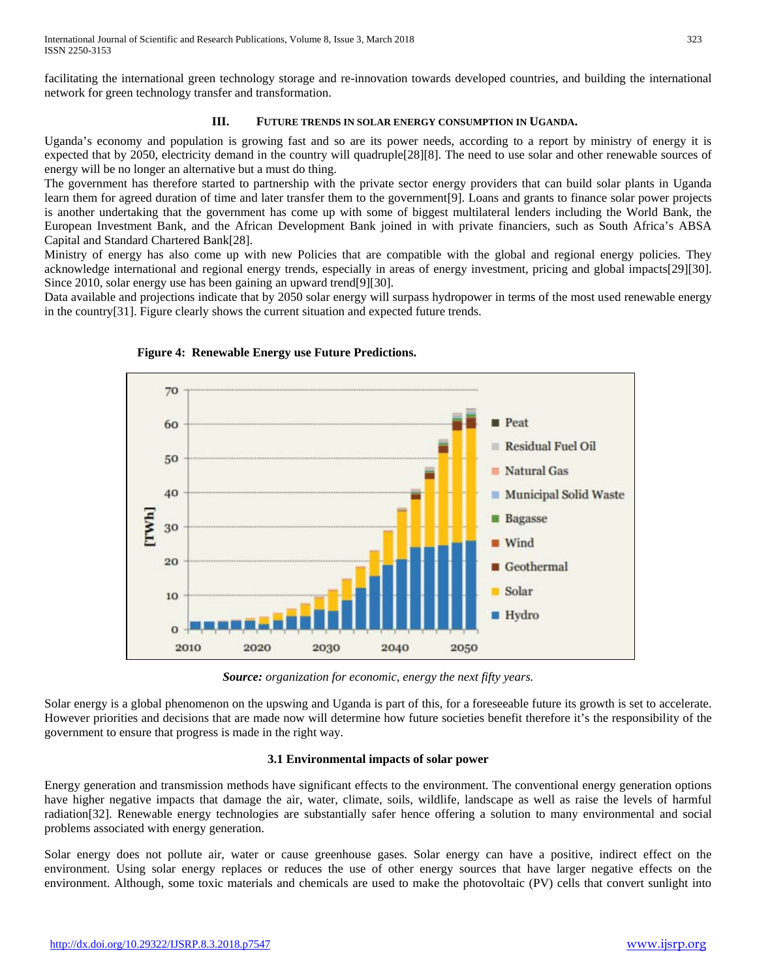facilitating the international green technology storage and re-innovation towards developed countries, and building the international network for green technology transfer and transformation.

# **III. FUTURE TRENDS IN SOLAR ENERGY CONSUMPTION IN UGANDA.**

Uganda's economy and population is growing fast and so are its power needs, according to a report by ministry of energy it is expected that by 2050, electricity demand in the country will quadruple[28][8]. The need to use solar and other renewable sources of energy will be no longer an alternative but a must do thing.

The government has therefore started to partnership with the private sector energy providers that can build solar plants in Uganda learn them for agreed duration of time and later transfer them to the government[9]. Loans and grants to finance solar power projects is another undertaking that the government has come up with some of biggest multilateral lenders including the World Bank, the European Investment Bank, and the African Development Bank joined in with private financiers, such as South Africa's ABSA Capital and Standard Chartered Bank[28].

Ministry of energy has also come up with new Policies that are compatible with the global and regional energy policies. They acknowledge international and regional energy trends, especially in areas of energy investment, pricing and global impacts[29][30]. Since 2010, solar energy use has been gaining an upward trend[9][30].

Data available and projections indicate that by 2050 solar energy will surpass hydropower in terms of the most used renewable energy in the country[31]. Figure clearly shows the current situation and expected future trends.





*Source: organization for economic, energy the next fifty years.*

Solar energy is a global phenomenon on the upswing and Uganda is part of this, for a foreseeable future its growth is set to accelerate. However priorities and decisions that are made now will determine how future societies benefit therefore it's the responsibility of the government to ensure that progress is made in the right way.

# **3.1 Environmental impacts of solar power**

Energy generation and transmission methods have significant effects to the environment. The conventional energy generation options have higher negative impacts that damage the air, water, climate, soils, wildlife, landscape as well as raise the levels of harmful radiation[32]. Renewable energy technologies are substantially safer hence offering a solution to many environmental and social problems associated with energy generation.

Solar energy does not pollute air, water or cause greenhouse gases. Solar energy can have a positive, indirect effect on the environment. Using solar energy replaces or reduces the use of other energy sources that have larger negative effects on the environment. Although, some toxic materials and chemicals are used to make the photovoltaic (PV) cells that convert sunlight into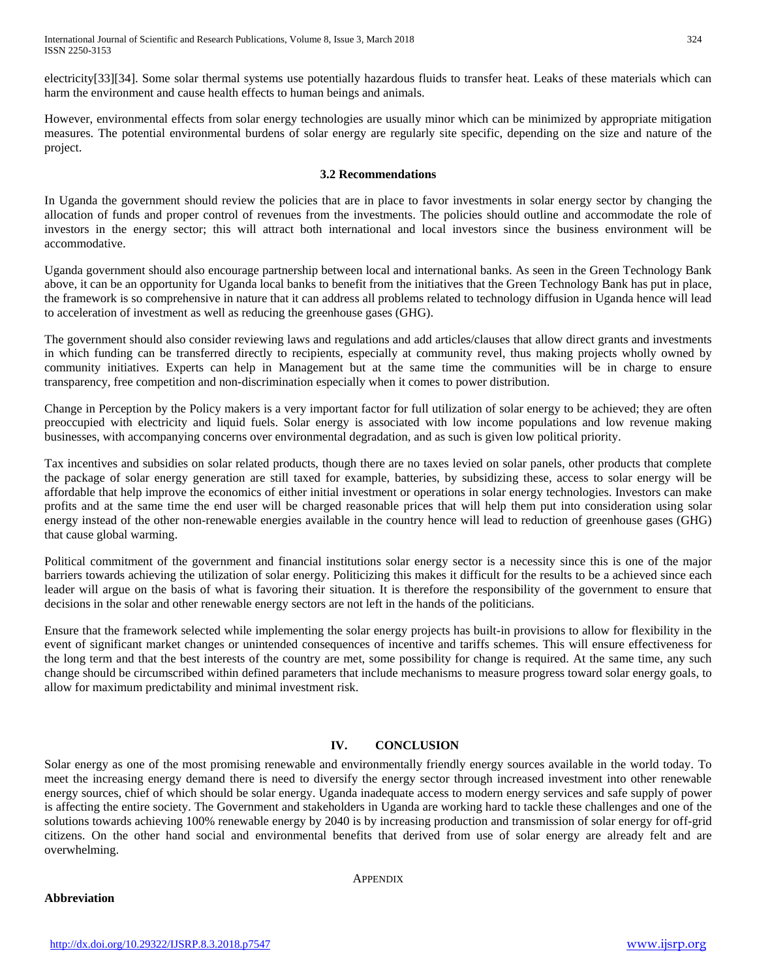electricity[33][34]. Some solar thermal systems use potentially hazardous fluids to transfer heat. Leaks of these materials which can harm the environment and cause health effects to human beings and animals.

However, environmental effects from solar energy technologies are usually minor which can be minimized by appropriate mitigation measures. The potential environmental burdens of solar energy are regularly site specific, depending on the size and nature of the project.

## **3.2 Recommendations**

In Uganda the government should review the policies that are in place to favor investments in solar energy sector by changing the allocation of funds and proper control of revenues from the investments. The policies should outline and accommodate the role of investors in the energy sector; this will attract both international and local investors since the business environment will be accommodative.

Uganda government should also encourage partnership between local and international banks. As seen in the Green Technology Bank above, it can be an opportunity for Uganda local banks to benefit from the initiatives that the Green Technology Bank has put in place, the framework is so comprehensive in nature that it can address all problems related to technology diffusion in Uganda hence will lead to acceleration of investment as well as reducing the greenhouse gases (GHG).

The government should also consider reviewing laws and regulations and add articles/clauses that allow direct grants and investments in which funding can be transferred directly to recipients, especially at community revel, thus making projects wholly owned by community initiatives. Experts can help in Management but at the same time the communities will be in charge to ensure transparency, free competition and non-discrimination especially when it comes to power distribution.

Change in Perception by the Policy makers is a very important factor for full utilization of solar energy to be achieved; they are often preoccupied with electricity and liquid fuels. Solar energy is associated with low income populations and low revenue making businesses, with accompanying concerns over environmental degradation, and as such is given low political priority.

Tax incentives and subsidies on solar related products, though there are no taxes levied on solar panels, other products that complete the package of solar energy generation are still taxed for example, batteries, by subsidizing these, access to solar energy will be affordable that help improve the economics of either initial investment or operations in solar energy technologies. Investors can make profits and at the same time the end user will be charged reasonable prices that will help them put into consideration using solar energy instead of the other non-renewable energies available in the country hence will lead to reduction of greenhouse gases (GHG) that cause global warming.

Political commitment of the government and financial institutions solar energy sector is a necessity since this is one of the major barriers towards achieving the utilization of solar energy. Politicizing this makes it difficult for the results to be a achieved since each leader will argue on the basis of what is favoring their situation. It is therefore the responsibility of the government to ensure that decisions in the solar and other renewable energy sectors are not left in the hands of the politicians.

Ensure that the framework selected while implementing the solar energy projects has built-in provisions to allow for flexibility in the event of significant market changes or unintended consequences of incentive and tariffs schemes. This will ensure effectiveness for the long term and that the best interests of the country are met, some possibility for change is required. At the same time, any such change should be circumscribed within defined parameters that include mechanisms to measure progress toward solar energy goals, to allow for maximum predictability and minimal investment risk.

# **IV. CONCLUSION**

Solar energy as one of the most promising renewable and environmentally friendly energy sources available in the world today. To meet the increasing energy demand there is need to diversify the energy sector through increased investment into other renewable energy sources, chief of which should be solar energy. Uganda inadequate access to modern energy services and safe supply of power is affecting the entire society. The Government and stakeholders in Uganda are working hard to tackle these challenges and one of the solutions towards achieving 100% renewable energy by 2040 is by increasing production and transmission of solar energy for off-grid citizens. On the other hand social and environmental benefits that derived from use of solar energy are already felt and are overwhelming.

## **APPENDIX**

## **Abbreviation**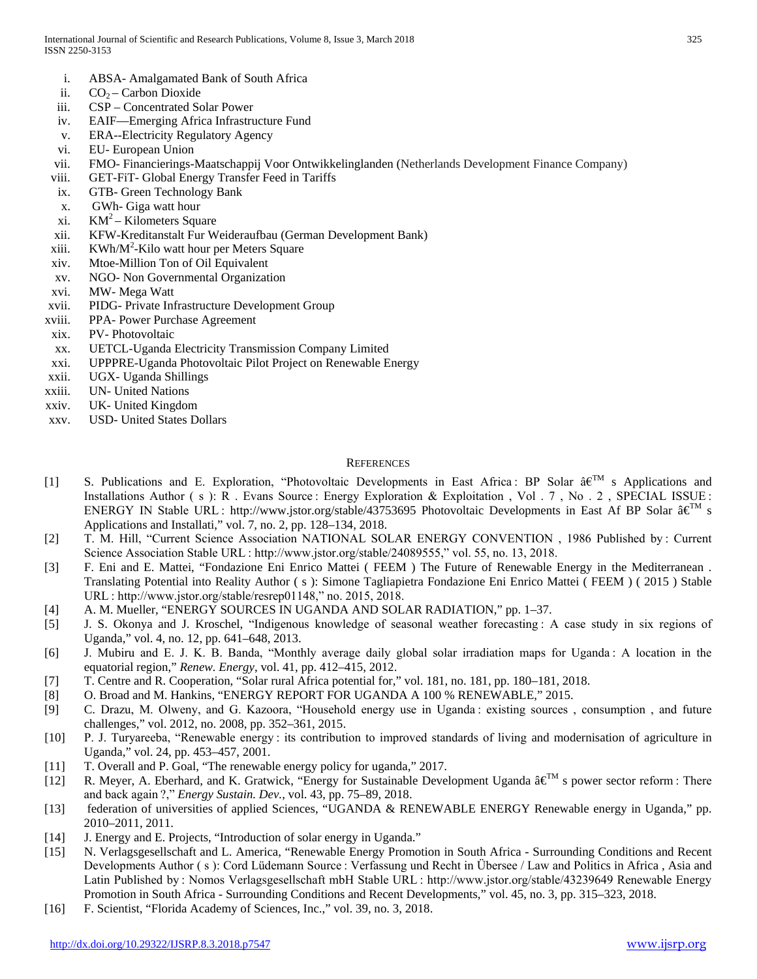- i. ABSA- Amalgamated Bank of South Africa
- ii.  $CO<sub>2</sub> Carbon Dioxide$
- iii. CSP Concentrated Solar Power
- iv. EAIF—Emerging Africa Infrastructure Fund
- v. ERA--Electricity Regulatory Agency
- vi. EU- European Union
- vii. FMO- Financierings-Maatschappij Voor Ontwikkelinglanden (Netherlands Development Finance Company)
- viii. GET-FiT- Global Energy Transfer Feed in Tariffs
- ix. GTB- Green Technology Bank
- x. GWh- Giga watt hour
- xi.  $KM^2 Kilometers Square$
- xii. KFW-Kreditanstalt Fur Weideraufbau (German Development Bank)
- xiii. KWh/M<sup>2</sup>-Kilo watt hour per Meters Square
- xiv. Mtoe-Million Ton of Oil Equivalent
- xv. NGO- Non Governmental Organization
- xvi. MW- Mega Watt
- xvii. PIDG- Private Infrastructure Development Group
- xviii. PPA- Power Purchase Agreement
- xix. PV- Photovoltaic
- xx. UETCL-Uganda Electricity Transmission Company Limited
- xxi. UPPPRE-Uganda Photovoltaic Pilot Project on Renewable Energy
- xxii. UGX- Uganda Shillings
- xxiii. UN- United Nations
- xxiv. UK- United Kingdom
- xxv. USD- United States Dollars

## **REFERENCES**

- [1] S. Publications and E. Exploration, "Photovoltaic Developments in East Africa: BP Solar  $\hat{a} \in \mathbb{T}^M$  s Applications and Installations Author ( s ): R . Evans Source : Energy Exploration & Exploitation, Vol. 7, No. 2, SPECIAL ISSUE : ENERGY IN Stable URL∶http://www.jstor.org/stable/43753695 Photovoltaic Developments in East Af BP Solar â€<sup>™</sup> s Applications and Installati," vol. 7, no. 2, pp. 128–134, 2018.
- [2] T. M. Hill, "Current Science Association NATIONAL SOLAR ENERGY CONVENTION, 1986 Published by: Current Science Association Stable URL : http://www.jstor.org/stable/24089555," vol. 55, no. 13, 2018.
- [3] F. Eni and E. Mattei, "Fondazione Eni Enrico Mattei ( FEEM ) The Future of Renewable Energy in the Mediterranean . Translating Potential into Reality Author ( s ): Simone Tagliapietra Fondazione Eni Enrico Mattei ( FEEM ) ( 2015 ) Stable URL : http://www.jstor.org/stable/resrep01148," no. 2015, 2018.
- [4] A. M. Mueller, "ENERGY SOURCES IN UGANDA AND SOLAR RADIATION," pp. 1–37.
- [5] J. S. Okonya and J. Kroschel, "Indigenous knowledge of seasonal weather forecasting : A case study in six regions of Uganda," vol. 4, no. 12, pp. 641–648, 2013.
- [6] J. Mubiru and E. J. K. B. Banda, "Monthly average daily global solar irradiation maps for Uganda : A location in the equatorial region," *Renew. Energy*, vol. 41, pp. 412–415, 2012.
- [7] T. Centre and R. Cooperation, "Solar rural Africa potential for," vol. 181, no. 181, pp. 180–181, 2018.
- [8] O. Broad and M. Hankins, "ENERGY REPORT FOR UGANDA A 100 % RENEWABLE," 2015.
- [9] C. Drazu, M. Olweny, and G. Kazoora, "Household energy use in Uganda : existing sources , consumption , and future challenges," vol. 2012, no. 2008, pp. 352–361, 2015.
- [10] P. J. Turyareeba, "Renewable energy : its contribution to improved standards of living and modernisation of agriculture in Uganda," vol. 24, pp. 453–457, 2001.
- [11] T. Overall and P. Goal, "The renewable energy policy for uganda," 2017.
- [12] R. Meyer, A. Eberhard, and K. Gratwick, "Energy for Sustainable Development Uganda â€<sup>™</sup> s power sector reform∶ There and back again ?," *Energy Sustain. Dev.*, vol. 43, pp. 75–89, 2018.
- [13] federation of universities of applied Sciences, "UGANDA & RENEWABLE ENERGY Renewable energy in Uganda," pp. 2010–2011, 2011.
- [14] J. Energy and E. Projects, "Introduction of solar energy in Uganda."
- [15] N. Verlagsgesellschaft and L. America, "Renewable Energy Promotion in South Africa Surrounding Conditions and Recent Developments Author ( s ): Cord Lüdemann Source : Verfassung und Recht in Übersee / Law and Politics in Africa , Asia and Latin Published by : Nomos Verlagsgesellschaft mbH Stable URL : http://www.jstor.org/stable/43239649 Renewable Energy Promotion in South Africa - Surrounding Conditions and Recent Developments," vol. 45, no. 3, pp. 315–323, 2018.
- [16] F. Scientist, "Florida Academy of Sciences, Inc.," vol. 39, no. 3, 2018.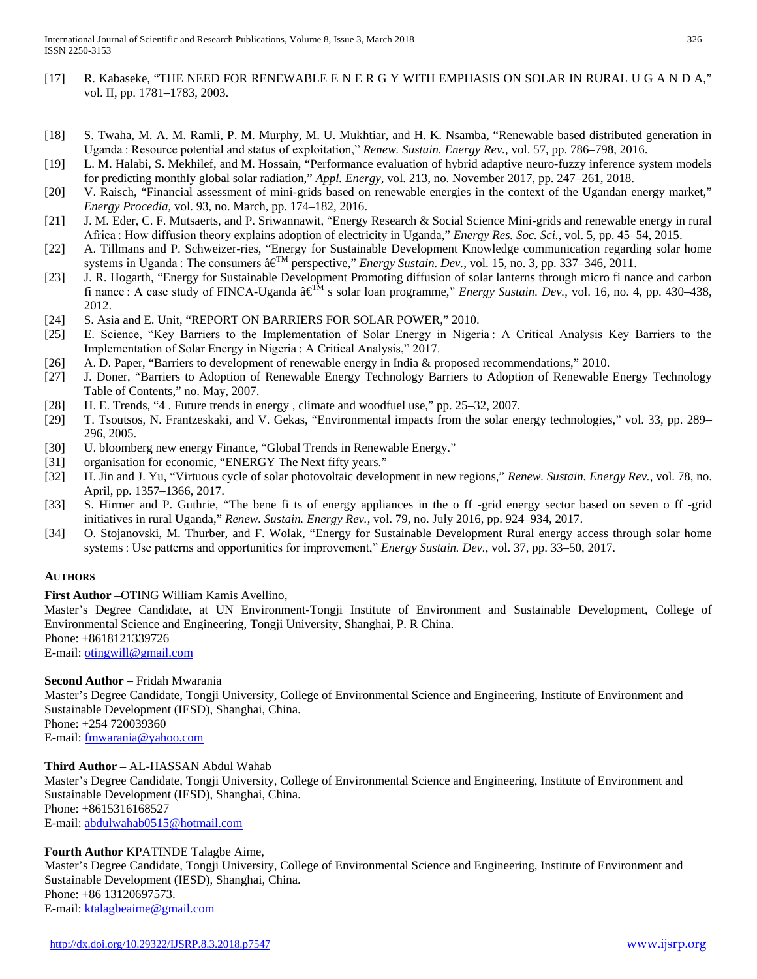- [17] R. Kabaseke, "THE NEED FOR RENEWABLE E N E R G Y WITH EMPHASIS ON SOLAR IN RURAL U G A N D A," vol. II, pp. 1781–1783, 2003.
- [18] S. Twaha, M. A. M. Ramli, P. M. Murphy, M. U. Mukhtiar, and H. K. Nsamba, "Renewable based distributed generation in Uganda : Resource potential and status of exploitation," *Renew. Sustain. Energy Rev.*, vol. 57, pp. 786–798, 2016.
- [19] L. M. Halabi, S. Mekhilef, and M. Hossain, "Performance evaluation of hybrid adaptive neuro-fuzzy inference system models for predicting monthly global solar radiation," *Appl. Energy*, vol. 213, no. November 2017, pp. 247–261, 2018.
- [20] V. Raisch, "Financial assessment of mini-grids based on renewable energies in the context of the Ugandan energy market," *Energy Procedia*, vol. 93, no. March, pp. 174–182, 2016.
- [21] J. M. Eder, C. F. Mutsaerts, and P. Sriwannawit, "Energy Research & Social Science Mini-grids and renewable energy in rural Africa : How diffusion theory explains adoption of electricity in Uganda," *Energy Res. Soc. Sci.*, vol. 5, pp. 45–54, 2015.
- [22] A. Tillmans and P. Schweizer-ries, "Energy for Sustainable Development Knowledge communication regarding solar home systems in Uganda : The consumers â€<sup>™</sup> perspective," *Energy Sustain. Dev.*, vol. 15, no. 3, pp. 337–346, 2011.
- [23] J. R. Hogarth, "Energy for Sustainable Development Promoting diffusion of solar lanterns through micro fi nance and carbon fi nance : A case study of FINCA-Uganda  $\hat{\mathbf{a}} \in \mathbb{R}^M$  s solar loan programme," *Energy Sustain. Dev.*, vol. 16, no. 4, pp. 430–438, 2012.
- [24] S. Asia and E. Unit, "REPORT ON BARRIERS FOR SOLAR POWER," 2010.
- [25] E. Science, "Key Barriers to the Implementation of Solar Energy in Nigeria : A Critical Analysis Key Barriers to the Implementation of Solar Energy in Nigeria : A Critical Analysis," 2017.
- [26] A. D. Paper, "Barriers to development of renewable energy in India & proposed recommendations," 2010.
- [27] J. Doner, "Barriers to Adoption of Renewable Energy Technology Barriers to Adoption of Renewable Energy Technology Table of Contents," no. May, 2007.
- [28] H. E. Trends, "4 . Future trends in energy , climate and woodfuel use," pp. 25–32, 2007.
- [29] T. Tsoutsos, N. Frantzeskaki, and V. Gekas, "Environmental impacts from the solar energy technologies," vol. 33, pp. 289– 296, 2005.
- [30] U. bloomberg new energy Finance, "Global Trends in Renewable Energy."
- [31] organisation for economic, "ENERGY The Next fifty years."
- [32] H. Jin and J. Yu, "Virtuous cycle of solar photovoltaic development in new regions," *Renew. Sustain. Energy Rev.*, vol. 78, no. April, pp. 1357–1366, 2017.
- [33] S. Hirmer and P. Guthrie, "The bene fi ts of energy appliances in the o ff -grid energy sector based on seven o ff -grid initiatives in rural Uganda," *Renew. Sustain. Energy Rev.*, vol. 79, no. July 2016, pp. 924–934, 2017.
- [34] O. Stojanovski, M. Thurber, and F. Wolak, "Energy for Sustainable Development Rural energy access through solar home systems : Use patterns and opportunities for improvement," *Energy Sustain. Dev.*, vol. 37, pp. 33–50, 2017.

# **AUTHORS**

**First Author** –OTING William Kamis Avellino,

Master's Degree Candidate, at UN Environment-Tongji Institute of Environment and Sustainable Development, College of Environmental Science and Engineering, Tongji University, Shanghai, P. R China. Phone: +8618121339726

E-mail: [otingwill@gmail.com](mailto:otingwill@gmail.com)

# **Second Author** – Fridah Mwarania

Master's Degree Candidate, Tongji University, College of Environmental Science and Engineering, Institute of Environment and Sustainable Development (IESD), Shanghai, China. Phone: +254 720039360

E-mail: [fmwarania@yahoo.com](mailto:fmwarania@yahoo.com)

**Third Author** – AL-HASSAN Abdul Wahab Master's Degree Candidate, Tongji University, College of Environmental Science and Engineering, Institute of Environment and Sustainable Development (IESD), Shanghai, China. Phone: +8615316168527 E-mail: [abdulwahab0515@hotmail.com](mailto:abdulwahab0515@hotmail.com)

# **Fourth Author** KPATINDE Talagbe Aime,

Master's Degree Candidate, Tongji University, College of Environmental Science and Engineering, Institute of Environment and Sustainable Development (IESD), Shanghai, China. Phone: +86 13120697573. E-mail: [ktalagbeaime@gmail.com](mailto:ktalagbeaime@gmail.com)